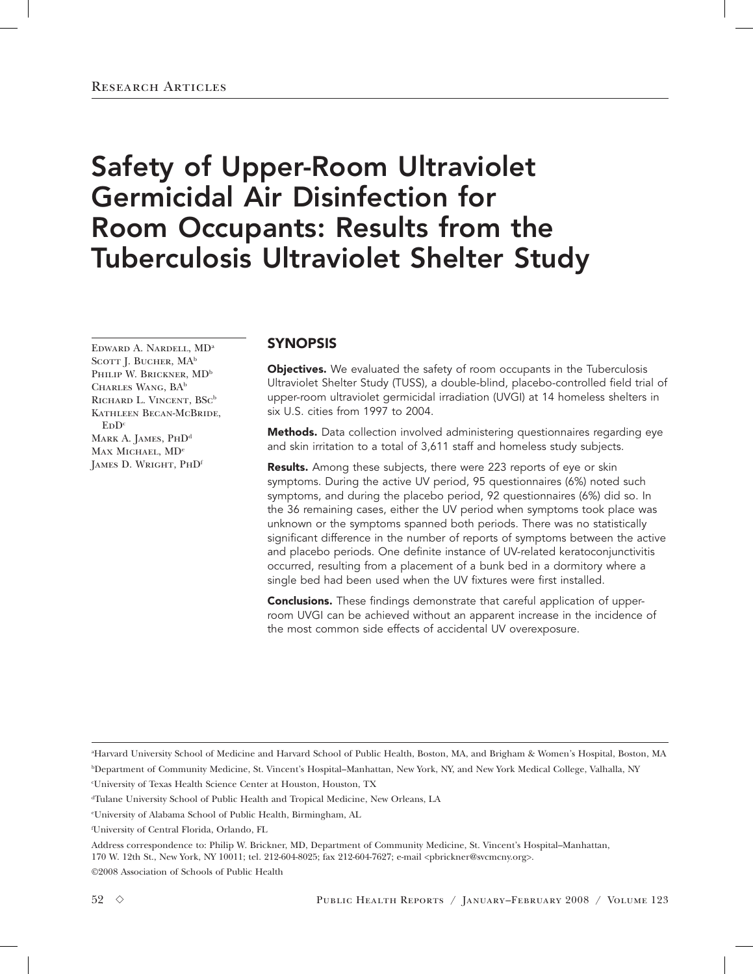# Safety of Upper-Room Ultraviolet Germicidal Air Disinfection for Room Occupants: Results from the Tuberculosis Ultraviolet Shelter Study

EDWARD A. NARDELL, MD<sup>a</sup> SCOTT J. BUCHER, MA<sup>b</sup> PHILIP W. BRICKNER, MD<sup>b</sup> CHARLES WANG, BA<sup>b</sup> RICHARD L. VINCENT, BSC<sup>b</sup> Kathleen Becan-McBride,  $F.D<sup>c</sup>$ 

MARK A. JAMES, PHD<sup>d</sup> MAX MICHAEL, MD<sup>e</sup> JAMES D. WRIGHT, PHD<sup>f</sup>

# SYNOPSIS

**Objectives.** We evaluated the safety of room occupants in the Tuberculosis Ultraviolet Shelter Study (TUSS), a double-blind, placebo-controlled field trial of upper-room ultraviolet germicidal irradiation (UVGI) at 14 homeless shelters in six U.S. cities from 1997 to 2004.

Methods. Data collection involved administering questionnaires regarding eye and skin irritation to a total of 3,611 staff and homeless study subjects.

Results. Among these subjects, there were 223 reports of eye or skin symptoms. During the active UV period, 95 questionnaires (6%) noted such symptoms, and during the placebo period, 92 questionnaires (6%) did so. In the 36 remaining cases, either the UV period when symptoms took place was unknown or the symptoms spanned both periods. There was no statistically significant difference in the number of reports of symptoms between the active and placebo periods. One definite instance of UV-related keratoconjunctivitis occurred, resulting from a placement of a bunk bed in a dormitory where a single bed had been used when the UV fixtures were first installed.

**Conclusions.** These findings demonstrate that careful application of upperroom UVGI can be achieved without an apparent increase in the incidence of the most common side effects of accidental UV overexposure.

a Harvard University School of Medicine and Harvard School of Public Health, Boston, MA, and Brigham & Women's Hospital, Boston, MA b Department of Community Medicine, St. Vincent's Hospital–Manhattan, New York, NY, and New York Medical College, Valhalla, NY

c University of Texas Health Science Center at Houston, Houston, TX

Address correspondence to: Philip W. Brickner, MD, Department of Community Medicine, St. Vincent's Hospital–Manhattan, 170 W. 12th St., New York, NY 10011; tel. 212-604-8025; fax 212-604-7627; e-mail <pbrickner@svcmcny.org>.

©2008 Association of Schools of Public Health

dTulane University School of Public Health and Tropical Medicine, New Orleans, LA

e University of Alabama School of Public Health, Birmingham, AL

f University of Central Florida, Orlando, FL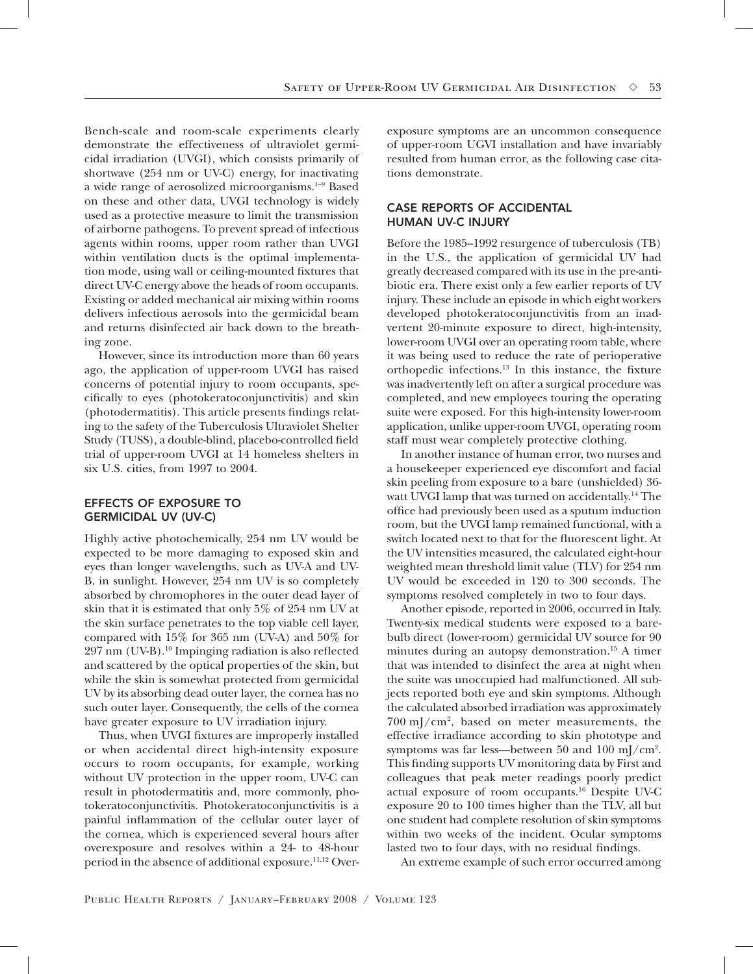Bench-scale and room-scale experiments clearly demonstrate the effectiveness of ultraviolet germicidal irradiation (UVGI), which consists primarily of shortwave (254 nm or UV-C) energy, for inactivating a wide range of aerosolized microorganisms.1–9 Based on these and other data, UVGI technology is widely used as a protective measure to limit the transmission of airborne pathogens. To prevent spread of infectious agents within rooms, upper room rather than UVGI within ventilation ducts is the optimal implementation mode, using wall or ceiling-mounted fixtures that direct UV-C energy above the heads of room occupants. Existing or added mechanical air mixing within rooms delivers infectious aerosols into the germicidal beam and returns disinfected air back down to the breathing zone.

However, since its introduction more than 60 years ago, the application of upper-room UVGI has raised concerns of potential injury to room occupants, specifically to eyes (photokeratoconjunctivitis) and skin (photodermatitis). This article presents findings relating to the safety of the Tuberculosis Ultraviolet Shelter Study (TUSS), a double-blind, placebo-controlled field trial of upper-room UVGI at 14 homeless shelters in six U.S. cities, from 1997 to 2004.

## EFFECTS OF EXPOSURE TO GERMICIDAL UV (UV-C)

Highly active photochemically, 254 nm UV would be expected to be more damaging to exposed skin and eyes than longer wavelengths, such as UV-A and UV-B, in sunlight. However, 254 nm UV is so completely absorbed by chromophores in the outer dead layer of skin that it is estimated that only 5% of 254 nm UV at the skin surface penetrates to the top viable cell layer, compared with 15% for 365 nm (UV-A) and 50% for 297 nm (UV-B).10 Impinging radiation is also reflected and scattered by the optical properties of the skin, but while the skin is somewhat protected from germicidal UV by its absorbing dead outer layer, the cornea has no such outer layer. Consequently, the cells of the cornea have greater exposure to UV irradiation injury.

Thus, when UVGI fixtures are improperly installed or when accidental direct high-intensity exposure occurs to room occupants, for example, working without UV protection in the upper room, UV-C can result in photodermatitis and, more commonly, photokeratoconjunctivitis. Photokeratoconjunctivitis is a painful inflammation of the cellular outer layer of the cornea, which is experienced several hours after overexposure and resolves within a 24- to 48-hour period in the absence of additional exposure.11,12 Overexposure symptoms are an uncommon consequence of upper-room UGVI installation and have invariably resulted from human error, as the following case citations demonstrate.

# CASE REPORTS OF ACCIDENTAL HUMAN UV-C INJURY

Before the 1985–1992 resurgence of tuberculosis (TB) in the U.S., the application of germicidal UV had greatly decreased compared with its use in the pre-antibiotic era. There exist only a few earlier reports of UV injury. These include an episode in which eight workers developed photokeratoconjunctivitis from an inadvertent 20-minute exposure to direct, high-intensity, lower-room UVGI over an operating room table, where it was being used to reduce the rate of perioperative orthopedic infections.13 In this instance, the fixture was inadvertently left on after a surgical procedure was completed, and new employees touring the operating suite were exposed. For this high-intensity lower-room application, unlike upper-room UVGI, operating room staff must wear completely protective clothing.

In another instance of human error, two nurses and a housekeeper experienced eye discomfort and facial skin peeling from exposure to a bare (unshielded) 36 watt UVGI lamp that was turned on accidentally.<sup>14</sup> The office had previously been used as a sputum induction room, but the UVGI lamp remained functional, with a switch located next to that for the fluorescent light. At the UV intensities measured, the calculated eight-hour weighted mean threshold limit value (TLV) for 254 nm UV would be exceeded in 120 to 300 seconds. The symptoms resolved completely in two to four days.

Another episode, reported in 2006, occurred in Italy. Twenty-six medical students were exposed to a barebulb direct (lower-room) germicidal UV source for 90 minutes during an autopsy demonstration.15 A timer that was intended to disinfect the area at night when the suite was unoccupied had malfunctioned. All subjects reported both eye and skin symptoms. Although the calculated absorbed irradiation was approximately  $700 \text{ mJ/cm}^2$ , based on meter measurements, the effective irradiance according to skin phototype and symptoms was far less—between 50 and 100 mJ/cm<sup>2</sup>. This finding supports UV monitoring data by First and colleagues that peak meter readings poorly predict actual exposure of room occupants.16 Despite UV-C exposure 20 to 100 times higher than the TLV, all but one student had complete resolution of skin symptoms within two weeks of the incident. Ocular symptoms lasted two to four days, with no residual findings.

An extreme example of such error occurred among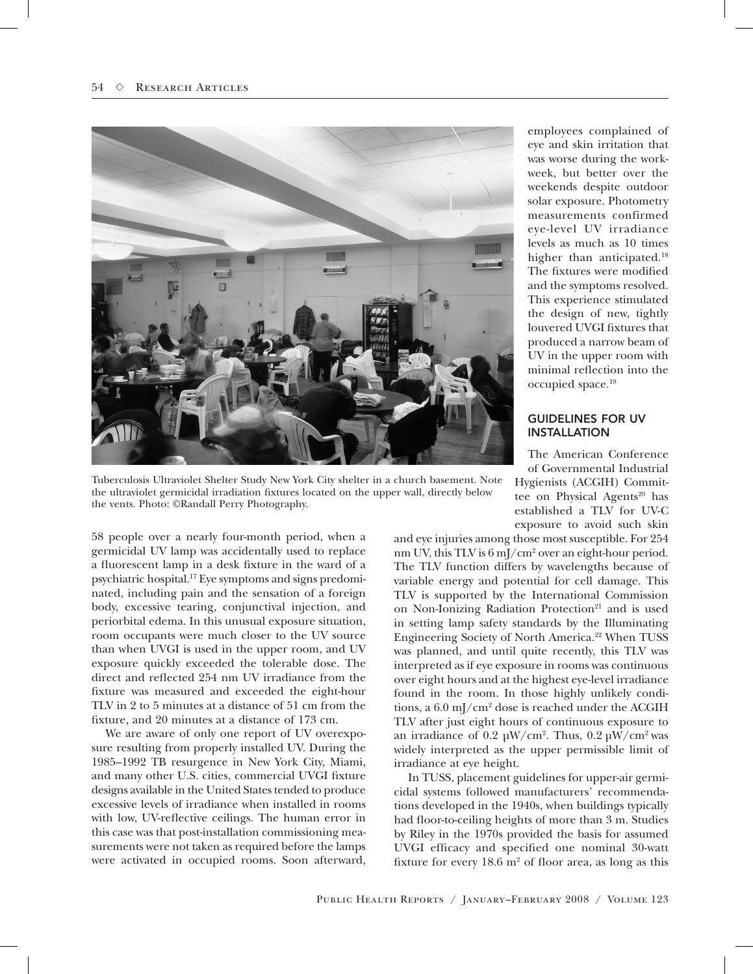

Tuberculosis Ultraviolet Shelter Study New York City shelter in a church basement. Note the ultraviolet germicidal irradiation fixtures located on the upper wall, directly below the vents. Photo: ©Randall Perry Photography.

58 people over a nearly four-month period, when a germicidal UV lamp was accidentally used to replace a fluorescent lamp in a desk fixture in the ward of a psychiatric hospital.17 Eye symptoms and signs predominated, including pain and the sensation of a foreign body, excessive tearing, conjunctival injection, and periorbital edema. In this unusual exposure situation, room occupants were much closer to the UV source than when UVGI is used in the upper room, and UV exposure quickly exceeded the tolerable dose. The direct and reflected 254 nm UV irradiance from the fixture was measured and exceeded the eight-hour TLV in 2 to 5 minutes at a distance of 51 cm from the fixture, and 20 minutes at a distance of 173 cm.

We are aware of only one report of UV overexposure resulting from properly installed UV. During the 1985–1992 TB resurgence in New York City, Miami, and many other U.S. cities, commercial UVGI fixture designs available in the United States tended to produce excessive levels of irradiance when installed in rooms with low, UV-reflective ceilings. The human error in this case was that post-installation commissioning measurements were not taken as required before the lamps were activated in occupied rooms. Soon afterward,

employees complained of eye and skin irritation that was worse during the workweek, but better over the weekends despite outdoor solar exposure. Photometry measurements confirmed eye-level UV irradiance levels as much as 10 times higher than anticipated.<sup>18</sup> The fixtures were modified and the symptoms resolved. This experience stimulated the design of new, tightly louvered UVGI fixtures that produced a narrow beam of UV in the upper room with minimal reflection into the occupied space.19

## GUIDELINES FOR UV INSTALLATION

The American Conference of Governmental Industrial Hygienists (ACGIH) Committee on Physical Agents<sup>20</sup> has established a TLV for UV-C exposure to avoid such skin

and eye injuries among those most susceptible. For 254 nm UV, this TLV is 6 mJ/cm<sup>2</sup> over an eight-hour period. The TLV function differs by wavelengths because of variable energy and potential for cell damage. This TLV is supported by the International Commission on Non-Ionizing Radiation Protection<sup>21</sup> and is used in setting lamp safety standards by the Illuminating Engineering Society of North America.<sup>22</sup> When TUSS was planned, and until quite recently, this TLV was interpreted as if eye exposure in rooms was continuous over eight hours and at the highest eye-level irradiance found in the room. In those highly unlikely conditions, a 6.0 mJ/cm2 dose is reached under the ACGIH TLV after just eight hours of continuous exposure to an irradiance of 0.2  $\mu$ W/cm<sup>2</sup>. Thus, 0.2  $\mu$ W/cm<sup>2</sup> was widely interpreted as the upper permissible limit of irradiance at eye height.

In TUSS, placement guidelines for upper-air germicidal systems followed manufacturers' recommendations developed in the 1940s, when buildings typically had floor-to-ceiling heights of more than 3 m. Studies by Riley in the 1970s provided the basis for assumed UVGI efficacy and specified one nominal 30-watt fixture for every  $18.6 \text{ m}^2$  of floor area, as long as this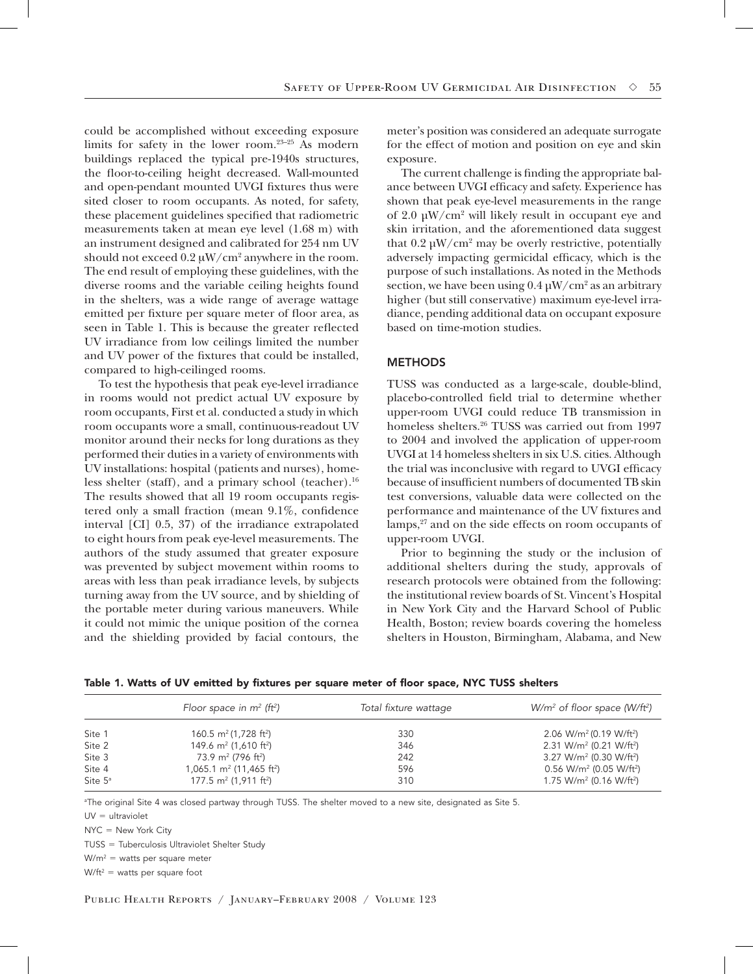could be accomplished without exceeding exposure limits for safety in the lower room.23–25 As modern buildings replaced the typical pre-1940s structures, the floor-to-ceiling height decreased. Wall-mounted and open-pendant mounted UVGI fixtures thus were sited closer to room occupants. As noted, for safety, these placement guidelines specified that radiometric measurements taken at mean eye level (1.68 m) with an instrument designed and calibrated for 254 nm UV should not exceed  $0.2 \mu W/cm^2$  anywhere in the room. The end result of employing these guidelines, with the diverse rooms and the variable ceiling heights found in the shelters, was a wide range of average wattage emitted per fixture per square meter of floor area, as seen in Table 1. This is because the greater reflected UV irradiance from low ceilings limited the number and UV power of the fixtures that could be installed, compared to high-ceilinged rooms.

To test the hypothesis that peak eye-level irradiance in rooms would not predict actual UV exposure by room occupants, First et al. conducted a study in which room occupants wore a small, continuous-readout UV monitor around their necks for long durations as they performed their duties in a variety of environments with UV installations: hospital (patients and nurses), homeless shelter (staff), and a primary school (teacher).<sup>16</sup> The results showed that all 19 room occupants registered only a small fraction (mean 9.1%, confidence interval [CI] 0.5, 37) of the irradiance extrapolated to eight hours from peak eye-level measurements. The authors of the study assumed that greater exposure was prevented by subject movement within rooms to areas with less than peak irradiance levels, by subjects turning away from the UV source, and by shielding of the portable meter during various maneuvers. While it could not mimic the unique position of the cornea and the shielding provided by facial contours, the

meter's position was considered an adequate surrogate for the effect of motion and position on eye and skin exposure.

The current challenge is finding the appropriate balance between UVGI efficacy and safety. Experience has shown that peak eye-level measurements in the range of 2.0 µW/cm2 will likely result in occupant eye and skin irritation, and the aforementioned data suggest that  $0.2 \mu W/cm^2$  may be overly restrictive, potentially adversely impacting germicidal efficacy, which is the purpose of such installations. As noted in the Methods section, we have been using  $0.4 \mu W/cm^2$  as an arbitrary higher (but still conservative) maximum eye-level irradiance, pending additional data on occupant exposure based on time-motion studies.

#### **METHODS**

TUSS was conducted as a large-scale, double-blind, placebo-controlled field trial to determine whether upper-room UVGI could reduce TB transmission in homeless shelters.<sup>26</sup> TUSS was carried out from 1997 to 2004 and involved the application of upper-room UVGI at 14 homeless shelters in six U.S. cities. Although the trial was inconclusive with regard to UVGI efficacy because of insufficient numbers of documented TB skin test conversions, valuable data were collected on the performance and maintenance of the UV fixtures and lamps,<sup>27</sup> and on the side effects on room occupants of upper-room UVGI.

Prior to beginning the study or the inclusion of additional shelters during the study, approvals of research protocols were obtained from the following: the institutional review boards of St. Vincent's Hospital in New York City and the Harvard School of Public Health, Boston; review boards covering the homeless shelters in Houston, Birmingham, Alabama, and New

|                               | Floor space in $m^2$ (ft <sup>2</sup> )                                                  | Total fixture wattage | $W/m^2$ of floor space (W/ft <sup>2</sup> )                                                          |
|-------------------------------|------------------------------------------------------------------------------------------|-----------------------|------------------------------------------------------------------------------------------------------|
| Site 1                        | 160.5 $m^2$ (1,728 ft <sup>2</sup> )                                                     | 330                   | 2.06 W/m <sup>2</sup> (0.19 W/ft <sup>2</sup> )                                                      |
| Site 2                        | 149.6 m <sup>2</sup> (1,610 ft <sup>2</sup> )                                            | 346                   | 2.31 W/m <sup>2</sup> (0.21 W/ft <sup>2</sup> )                                                      |
| Site 3                        | 73.9 m <sup>2</sup> (796 ft <sup>2</sup> )                                               | 242                   | 3.27 W/m <sup>2</sup> (0.30 W/ft <sup>2</sup> )                                                      |
| Site 4<br>Site 5 <sup>a</sup> | 1,065.1 m <sup>2</sup> (11,465 ft <sup>2</sup> )<br>177.5 $m^2$ (1,911 ft <sup>2</sup> ) | 596<br>310            | $0.56$ W/m <sup>2</sup> (0.05 W/ft <sup>2</sup> )<br>1.75 W/m <sup>2</sup> (0.16 W/ft <sup>2</sup> ) |

Table 1. Watts of UV emitted by fixtures per square meter of floor space, NYC TUSS shelters

a The original Site 4 was closed partway through TUSS. The shelter moved to a new site, designated as Site 5.

 $UV =$  ultraviolet

 $NYC = New York City$ 

TUSS = Tuberculosis Ultraviolet Shelter Study

 $W/m^2$  = watts per square meter

 $W/ft^2$  = watts per square foot

Public Health Reports / January–February 2008 / Volume 123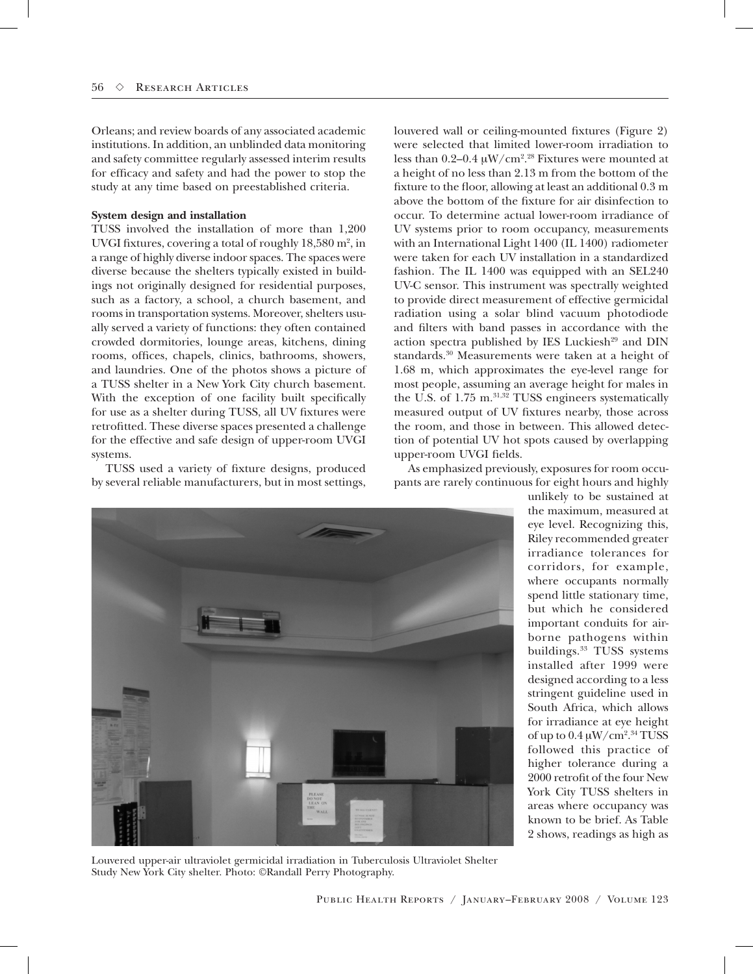Orleans; and review boards of any associated academic institutions. In addition, an unblinded data monitoring and safety committee regularly assessed interim results for efficacy and safety and had the power to stop the study at any time based on preestablished criteria.

#### **System design and installation**

TUSS involved the installation of more than 1,200 UVGI fixtures, covering a total of roughly  $18,580 \text{ m}^2$ , in a range of highly diverse indoor spaces. The spaces were diverse because the shelters typically existed in buildings not originally designed for residential purposes, such as a factory, a school, a church basement, and rooms in transportation systems. Moreover, shelters usually served a variety of functions: they often contained crowded dormitories, lounge areas, kitchens, dining rooms, offices, chapels, clinics, bathrooms, showers, and laundries. One of the photos shows a picture of a TUSS shelter in a New York City church basement. With the exception of one facility built specifically for use as a shelter during TUSS, all UV fixtures were retrofitted. These diverse spaces presented a challenge for the effective and safe design of upper-room UVGI systems.

TUSS used a variety of fixture designs, produced by several reliable manufacturers, but in most settings,

louvered wall or ceiling-mounted fixtures (Figure 2) were selected that limited lower-room irradiation to less than  $0.2-0.4 \mu W/cm^{2.28}$  Fixtures were mounted at a height of no less than 2.13 m from the bottom of the fixture to the floor, allowing at least an additional 0.3 m above the bottom of the fixture for air disinfection to occur. To determine actual lower-room irradiance of UV systems prior to room occupancy, measurements with an International Light 1400 (IL 1400) radiometer were taken for each UV installation in a standardized fashion. The IL 1400 was equipped with an SEL240 UV-C sensor. This instrument was spectrally weighted to provide direct measurement of effective germicidal radiation using a solar blind vacuum photodiode and filters with band passes in accordance with the action spectra published by IES Luckiesh<sup>29</sup> and DIN standards.<sup>30</sup> Measurements were taken at a height of 1.68 m, which approximates the eye-level range for most people, assuming an average height for males in the U.S. of 1.75 m.<sup>31,32</sup> TUSS engineers systematically measured output of UV fixtures nearby, those across the room, and those in between. This allowed detection of potential UV hot spots caused by overlapping upper-room UVGI fields.

As emphasized previously, exposures for room occupants are rarely continuous for eight hours and highly



unlikely to be sustained at the maximum, measured at eye level. Recognizing this, Riley recommended greater irradiance tolerances for corridors, for example, where occupants normally spend little stationary time, but which he considered important conduits for airborne pathogens within buildings.<sup>33</sup> TUSS systems installed after 1999 were designed according to a less stringent guideline used in South Africa, which allows for irradiance at eye height of up to  $0.4 \,\mathrm{\upmu W/cm^{2.34}\,TUSS}$ followed this practice of higher tolerance during a 2000 retrofit of the four New York City TUSS shelters in areas where occupancy was known to be brief. As Table 2 shows, readings as high as

Louvered upper-air ultraviolet germicidal irradiation in Tuberculosis Ultraviolet Shelter Study New York City shelter. Photo: ©Randall Perry Photography.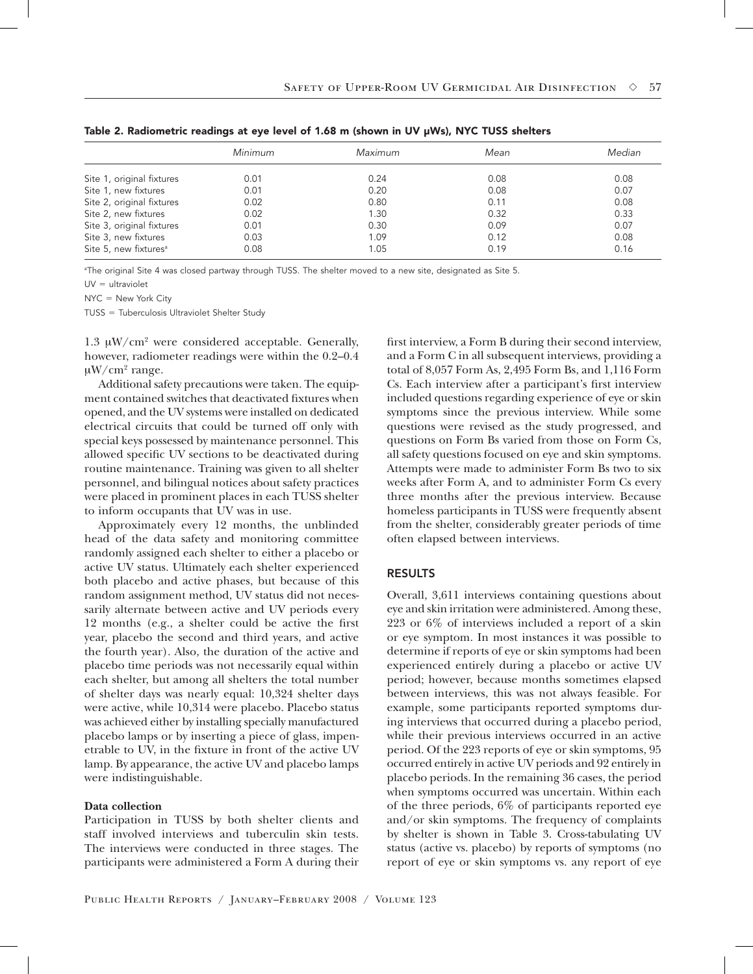|                                   | Minimum | Maximum | Mean | Median |
|-----------------------------------|---------|---------|------|--------|
| Site 1, original fixtures         | 0.01    | 0.24    | 0.08 | 0.08   |
| Site 1, new fixtures              | 0.01    | 0.20    | 0.08 | 0.07   |
| Site 2, original fixtures         | 0.02    | 0.80    | 0.11 | 0.08   |
| Site 2, new fixtures              | 0.02    | 1.30    | 0.32 | 0.33   |
| Site 3, original fixtures         | 0.01    | 0.30    | 0.09 | 0.07   |
| Site 3, new fixtures              | 0.03    | 1.09    | 0.12 | 0.08   |
| Site 5, new fixtures <sup>a</sup> | 0.08    | 1.05    | 0.19 | 0.16   |

Table 2. Radiometric readings at eye level of 1.68 m (shown in UV µWs), NYC TUSS shelters

a The original Site 4 was closed partway through TUSS. The shelter moved to a new site, designated as Site 5.

 $UV =$  ultraviolet

 $NYC = New York City$ 

TUSS = Tuberculosis Ultraviolet Shelter Study

1.3  $\mu$ W/cm<sup>2</sup> were considered acceptable. Generally, however, radiometer readings were within the 0.2–0.4  $\mu$ W/cm<sup>2</sup> range.

Additional safety precautions were taken. The equipment contained switches that deactivated fixtures when opened, and the UV systems were installed on dedicated electrical circuits that could be turned off only with special keys possessed by maintenance personnel. This allowed specific UV sections to be deactivated during routine maintenance. Training was given to all shelter personnel, and bilingual notices about safety practices were placed in prominent places in each TUSS shelter to inform occupants that UV was in use.

Approximately every 12 months, the unblinded head of the data safety and monitoring committee randomly assigned each shelter to either a placebo or active UV status. Ultimately each shelter experienced both placebo and active phases, but because of this random assignment method, UV status did not necessarily alternate between active and UV periods every 12 months (e.g., a shelter could be active the first year, placebo the second and third years, and active the fourth year). Also, the duration of the active and placebo time periods was not necessarily equal within each shelter, but among all shelters the total number of shelter days was nearly equal: 10,324 shelter days were active, while 10,314 were placebo. Placebo status was achieved either by installing specially manufactured placebo lamps or by inserting a piece of glass, impenetrable to UV, in the fixture in front of the active UV lamp. By appearance, the active UV and placebo lamps were indistinguishable.

#### **Data collection**

Participation in TUSS by both shelter clients and staff involved interviews and tuberculin skin tests. The interviews were conducted in three stages. The participants were administered a Form A during their first interview, a Form B during their second interview, and a Form C in all subsequent interviews, providing a total of 8,057 Form As, 2,495 Form Bs, and 1,116 Form Cs. Each interview after a participant's first interview included questions regarding experience of eye or skin symptoms since the previous interview. While some questions were revised as the study progressed, and questions on Form Bs varied from those on Form Cs, all safety questions focused on eye and skin symptoms. Attempts were made to administer Form Bs two to six weeks after Form A, and to administer Form Cs every three months after the previous interview. Because homeless participants in TUSS were frequently absent from the shelter, considerably greater periods of time often elapsed between interviews.

#### RESULTS

Overall, 3,611 interviews containing questions about eye and skin irritation were administered. Among these, 223 or 6% of interviews included a report of a skin or eye symptom. In most instances it was possible to determine if reports of eye or skin symptoms had been experienced entirely during a placebo or active UV period; however, because months sometimes elapsed between interviews, this was not always feasible. For example, some participants reported symptoms during interviews that occurred during a placebo period, while their previous interviews occurred in an active period. Of the 223 reports of eye or skin symptoms, 95 occurred entirely in active UV periods and 92 entirely in placebo periods. In the remaining 36 cases, the period when symptoms occurred was uncertain. Within each of the three periods, 6% of participants reported eye and/or skin symptoms. The frequency of complaints by shelter is shown in Table 3. Cross-tabulating UV status (active vs. placebo) by reports of symptoms (no report of eye or skin symptoms vs. any report of eye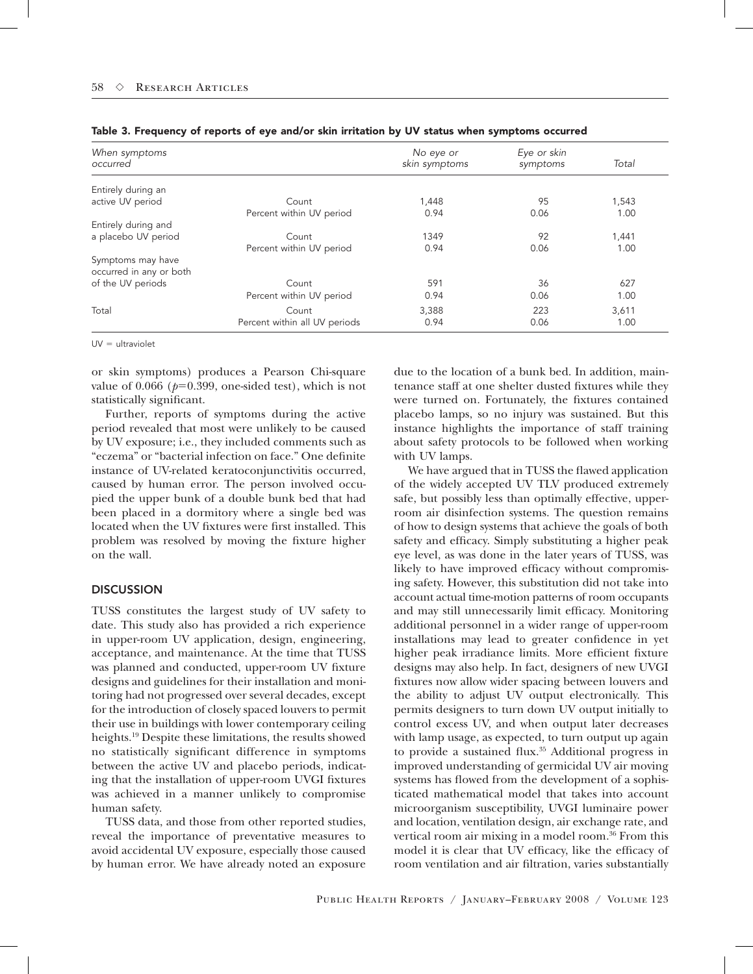| When symptoms<br>occurred                    |                               | No eye or<br>skin symptoms | Eye or skin<br>symptoms | Total |
|----------------------------------------------|-------------------------------|----------------------------|-------------------------|-------|
| Entirely during an                           |                               |                            |                         |       |
| active UV period                             | Count                         | 1,448                      | 95                      | 1,543 |
|                                              | Percent within UV period      | 0.94                       | 0.06                    | 1.00  |
| Entirely during and                          |                               |                            |                         |       |
| a placebo UV period                          | Count                         | 1349                       | 92                      | 1,441 |
|                                              | Percent within UV period      | 0.94                       | 0.06                    | 1.00  |
| Symptoms may have<br>occurred in any or both |                               |                            |                         |       |
| of the UV periods                            | Count                         | 591                        | 36                      | 627   |
|                                              | Percent within UV period      | 0.94                       | 0.06                    | 1.00  |
| Total                                        | Count                         | 3,388                      | 223                     | 3,611 |
|                                              | Percent within all UV periods | 0.94                       | 0.06                    | 1.00  |

Table 3. Frequency of reports of eye and/or skin irritation by UV status when symptoms occurred

 $UV =$  ultraviolet

or skin symptoms) produces a Pearson Chi-square value of  $0.066$  ( $p=0.399$ , one-sided test), which is not statistically significant.

Further, reports of symptoms during the active period revealed that most were unlikely to be caused by UV exposure; i.e., they included comments such as "eczema" or "bacterial infection on face." One definite instance of UV-related keratoconjunctivitis occurred, caused by human error. The person involved occupied the upper bunk of a double bunk bed that had been placed in a dormitory where a single bed was located when the UV fixtures were first installed. This problem was resolved by moving the fixture higher on the wall.

## **DISCUSSION**

TUSS constitutes the largest study of UV safety to date. This study also has provided a rich experience in upper-room UV application, design, engineering, acceptance, and maintenance. At the time that TUSS was planned and conducted, upper-room UV fixture designs and guidelines for their installation and monitoring had not progressed over several decades, except for the introduction of closely spaced louvers to permit their use in buildings with lower contemporary ceiling heights.19 Despite these limitations, the results showed no statistically significant difference in symptoms between the active UV and placebo periods, indicating that the installation of upper-room UVGI fixtures was achieved in a manner unlikely to compromise human safety.

TUSS data, and those from other reported studies, reveal the importance of preventative measures to avoid accidental UV exposure, especially those caused by human error. We have already noted an exposure due to the location of a bunk bed. In addition, maintenance staff at one shelter dusted fixtures while they were turned on. Fortunately, the fixtures contained placebo lamps, so no injury was sustained. But this instance highlights the importance of staff training about safety protocols to be followed when working with UV lamps.

We have argued that in TUSS the flawed application of the widely accepted UV TLV produced extremely safe, but possibly less than optimally effective, upperroom air disinfection systems. The question remains of how to design systems that achieve the goals of both safety and efficacy. Simply substituting a higher peak eye level, as was done in the later years of TUSS, was likely to have improved efficacy without compromising safety. However, this substitution did not take into account actual time-motion patterns of room occupants and may still unnecessarily limit efficacy. Monitoring additional personnel in a wider range of upper-room installations may lead to greater confidence in yet higher peak irradiance limits. More efficient fixture designs may also help. In fact, designers of new UVGI fixtures now allow wider spacing between louvers and the ability to adjust UV output electronically. This permits designers to turn down UV output initially to control excess UV, and when output later decreases with lamp usage, as expected, to turn output up again to provide a sustained flux.<sup>35</sup> Additional progress in improved understanding of germicidal UV air moving systems has flowed from the development of a sophisticated mathematical model that takes into account microorganism susceptibility, UVGI luminaire power and location, ventilation design, air exchange rate, and vertical room air mixing in a model room.<sup>36</sup> From this model it is clear that UV efficacy, like the efficacy of room ventilation and air filtration, varies substantially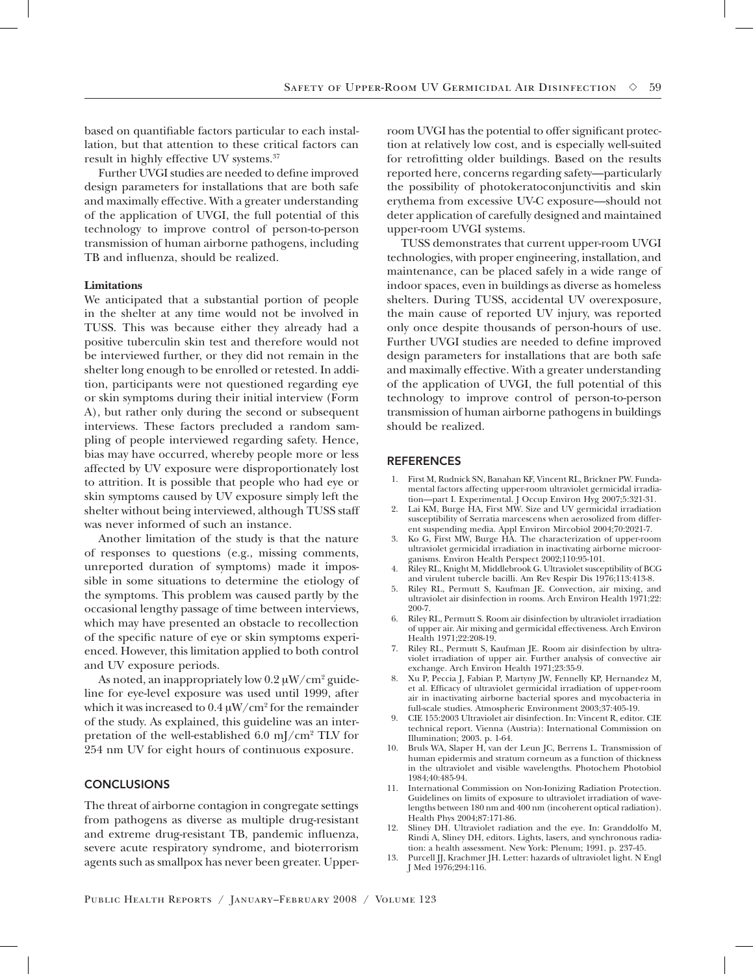based on quantifiable factors particular to each installation, but that attention to these critical factors can result in highly effective UV systems.37

Further UVGI studies are needed to define improved design parameters for installations that are both safe and maximally effective. With a greater understanding of the application of UVGI, the full potential of this technology to improve control of person-to-person transmission of human airborne pathogens, including TB and influenza, should be realized.

#### **Limitations**

We anticipated that a substantial portion of people in the shelter at any time would not be involved in TUSS. This was because either they already had a positive tuberculin skin test and therefore would not be interviewed further, or they did not remain in the shelter long enough to be enrolled or retested. In addition, participants were not questioned regarding eye or skin symptoms during their initial interview (Form A), but rather only during the second or subsequent interviews. These factors precluded a random sampling of people interviewed regarding safety. Hence, bias may have occurred, whereby people more or less affected by UV exposure were disproportionately lost to attrition. It is possible that people who had eye or skin symptoms caused by UV exposure simply left the shelter without being interviewed, although TUSS staff was never informed of such an instance.

Another limitation of the study is that the nature of responses to questions (e.g., missing comments, unreported duration of symptoms) made it impossible in some situations to determine the etiology of the symptoms. This problem was caused partly by the occasional lengthy passage of time between interviews, which may have presented an obstacle to recollection of the specific nature of eye or skin symptoms experienced. However, this limitation applied to both control and UV exposure periods.

As noted, an inappropriately low  $0.2\ \mathrm{\mu W/cm^2}$  guideline for eye-level exposure was used until 1999, after which it was increased to  $0.4 \,\mathrm{\upmu W/cm^2}$  for the remainder of the study. As explained, this guideline was an interpretation of the well-established  $6.0 \text{ mJ/cm}^2$  TLV for 254 nm UV for eight hours of continuous exposure.

## **CONCLUSIONS**

The threat of airborne contagion in congregate settings from pathogens as diverse as multiple drug-resistant and extreme drug-resistant TB, pandemic influenza, severe acute respiratory syndrome, and bioterrorism agents such as smallpox has never been greater. Upperroom UVGI has the potential to offer significant protection at relatively low cost, and is especially well-suited for retrofitting older buildings. Based on the results reported here, concerns regarding safety—particularly the possibility of photokeratoconjunctivitis and skin erythema from excessive UV-C exposure—should not deter application of carefully designed and maintained upper-room UVGI systems.

TUSS demonstrates that current upper-room UVGI technologies, with proper engineering, installation, and maintenance, can be placed safely in a wide range of indoor spaces, even in buildings as diverse as homeless shelters. During TUSS, accidental UV overexposure, the main cause of reported UV injury, was reported only once despite thousands of person-hours of use. Further UVGI studies are needed to define improved design parameters for installations that are both safe and maximally effective. With a greater understanding of the application of UVGI, the full potential of this technology to improve control of person-to-person transmission of human airborne pathogens in buildings should be realized.

## **REFERENCES**

- 1. First M, Rudnick SN, Banahan KF, Vincent RL, Brickner PW. Fundamental factors affecting upper-room ultraviolet germicidal irradiation—part I. Experimental. J Occup Environ Hyg 2007;5:321-31.
- 2. Lai KM, Burge HA, First MW. Size and UV germicidal irradiation susceptibility of Serratia marcescens when aerosolized from different suspending media. Appl Environ Mircobiol 2004;70:2021-7.
- 3. Ko G, First MW, Burge HA. The characterization of upper-room ultraviolet germicidal irradiation in inactivating airborne microorganisms. Environ Health Perspect 2002;110:95-101.
- 4. Riley RL, Knight M, Middlebrook G. Ultraviolet susceptibility of BCG and virulent tubercle bacilli. Am Rev Respir Dis 1976;113:413-8.
- 5. Riley RL, Permutt S, Kaufman JE. Convection, air mixing, and ultraviolet air disinfection in rooms. Arch Environ Health 1971;22: 200-7.
- 6. Riley RL, Permutt S. Room air disinfection by ultraviolet irradiation of upper air. Air mixing and germicidal effectiveness. Arch Environ Health 1971;22:208-19.
- 7. Riley RL, Permutt S, Kaufman JE. Room air disinfection by ultraviolet irradiation of upper air. Further analysis of convective air exchange. Arch Environ Health 1971;23:35-9.
- 8. Xu P, Peccia J, Fabian P, Martyny JW, Fennelly KP, Hernandez M, et al. Efficacy of ultraviolet germicidal irradiation of upper-room air in inactivating airborne bacterial spores and mycobacteria in full-scale studies. Atmospheric Environment 2003;37:405-19.
- 9. CIE 155:2003 Ultraviolet air disinfection. In: Vincent R, editor. CIE technical report. Vienna (Austria): International Commission on Illumination; 2003. p. 1-64.
- 10. Bruls WA, Slaper H, van der Leun JC, Berrens L. Transmission of human epidermis and stratum corneum as a function of thickness in the ultraviolet and visible wavelengths. Photochem Photobiol 1984;40:485-94.
- 11. International Commission on Non-Ionizing Radiation Protection. Guidelines on limits of exposure to ultraviolet irradiation of wavelengths between 180 nm and 400 nm (incoherent optical radiation). Health Phys 2004;87:171-86.
- Sliney DH. Ultraviolet radiation and the eye. In: Granddolfo M, Rindi A, Sliney DH, editors. Lights, lasers, and synchronous radiation: a health assessment. New York: Plenum; 1991. p. 237-45.
- 13. Purcell JJ, Krachmer JH. Letter: hazards of ultraviolet light. N Engl J Med 1976;294:116.

Public Health Reports / January–February 2008 / Volume 123